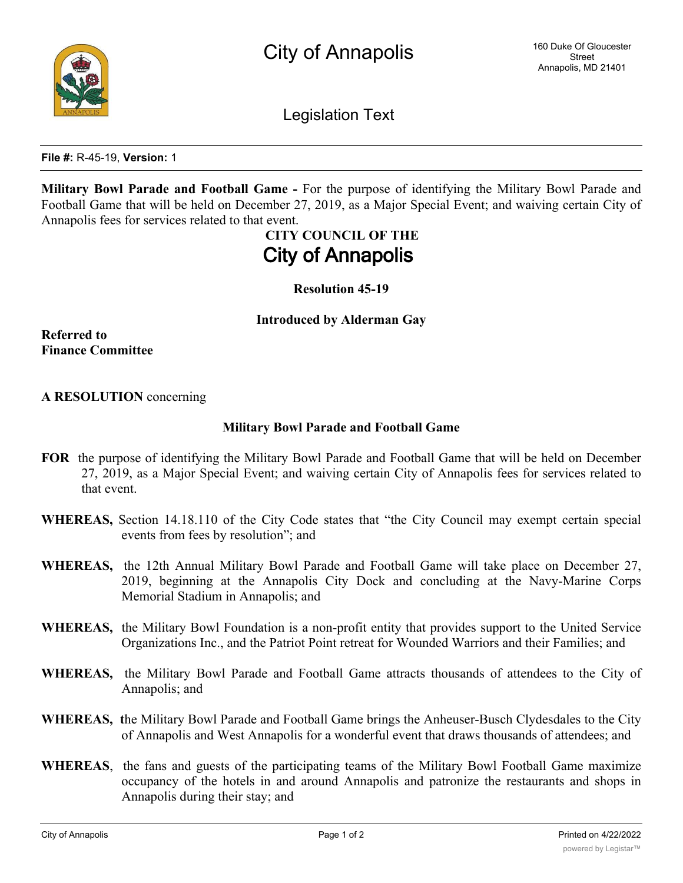

**File #:** R-45-19, **Version:** 1

**Military Bowl Parade and Football Game -** For the purpose of identifying the Military Bowl Parade and Football Game that will be held on December 27, 2019, as a Major Special Event; and waiving certain City of Annapolis fees for services related to that event.

> **CITY COUNCIL OF THE City of Annapolis**

> > **Resolution 45-19**

**Introduced by Alderman Gay**

**Referred to Finance Committee**

## **A RESOLUTION** concerning

## **Military Bowl Parade and Football Game**

- **FOR** the purpose of identifying the Military Bowl Parade and Football Game that will be held on December 27, 2019, as a Major Special Event; and waiving certain City of Annapolis fees for services related to that event.
- **WHEREAS,** Section 14.18.110 of the City Code states that "the City Council may exempt certain special events from fees by resolution"; and
- **WHEREAS,** the 12th Annual Military Bowl Parade and Football Game will take place on December 27, 2019, beginning at the Annapolis City Dock and concluding at the Navy-Marine Corps Memorial Stadium in Annapolis; and
- **WHEREAS,** the Military Bowl Foundation is a non-profit entity that provides support to the United Service Organizations Inc., and the Patriot Point retreat for Wounded Warriors and their Families; and
- **WHEREAS,** the Military Bowl Parade and Football Game attracts thousands of attendees to the City of Annapolis; and
- **WHEREAS, t**he Military Bowl Parade and Football Game brings the Anheuser-Busch Clydesdales to the City of Annapolis and West Annapolis for a wonderful event that draws thousands of attendees; and
- **WHEREAS**, the fans and guests of the participating teams of the Military Bowl Football Game maximize occupancy of the hotels in and around Annapolis and patronize the restaurants and shops in Annapolis during their stay; and